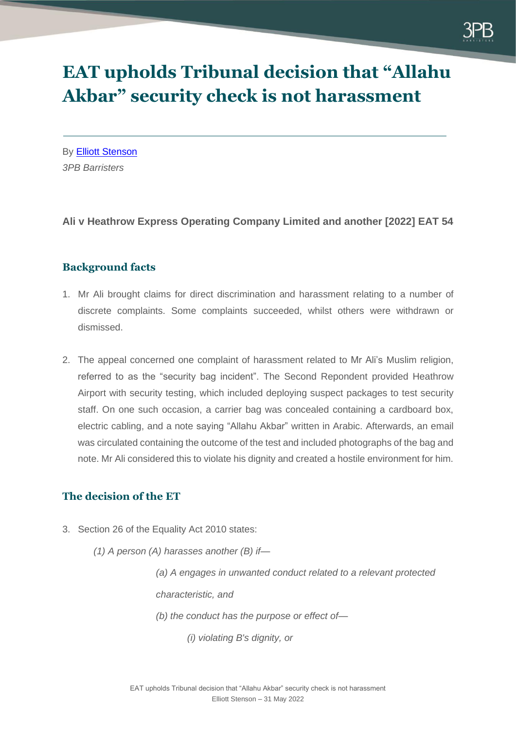

# **EAT upholds Tribunal decision that "Allahu Akbar" security check is not harassment**

By [Elliott Stenson](https://www.3pb.co.uk/barristers/elliott-stenson/) *3PB Barristers*

#### **Ali v Heathrow Express Operating Company Limited and another [2022] EAT 54**

### **Background facts**

- 1. Mr Ali brought claims for direct discrimination and harassment relating to a number of discrete complaints. Some complaints succeeded, whilst others were withdrawn or dismissed.
- 2. The appeal concerned one complaint of harassment related to Mr Ali's Muslim religion, referred to as the "security bag incident". The Second Repondent provided Heathrow Airport with security testing, which included deploying suspect packages to test security staff. On one such occasion, a carrier bag was concealed containing a cardboard box, electric cabling, and a note saying "Allahu Akbar" written in Arabic. Afterwards, an email was circulated containing the outcome of the test and included photographs of the bag and note. Mr Ali considered this to violate his dignity and created a hostile environment for him.

### **The decision of the ET**

- 3. Section 26 of the Equality Act 2010 states:
	- *(1) A person (A) harasses another (B) if—*
		- *(a) A engages in unwanted conduct related to a relevant protected characteristic, and (b) the conduct has the purpose or effect of—*
			- *(i) violating B's dignity, or*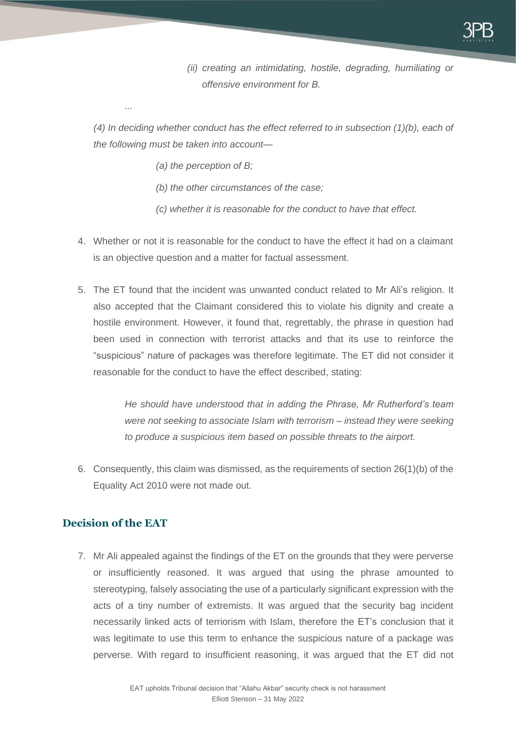*(ii) creating an intimidating, hostile, degrading, humiliating or offensive environment for B.*

*(4) In deciding whether conduct has the effect referred to in subsection (1)(b), each of the following must be taken into account—*

*(a) the perception of B;*

*...*

- *(b) the other circumstances of the case;*
- *(c) whether it is reasonable for the conduct to have that effect.*
- 4. Whether or not it is reasonable for the conduct to have the effect it had on a claimant is an objective question and a matter for factual assessment.
- 5. The ET found that the incident was unwanted conduct related to Mr Ali's religion. It also accepted that the Claimant considered this to violate his dignity and create a hostile environment. However, it found that, regrettably, the phrase in question had been used in connection with terrorist attacks and that its use to reinforce the "suspicious" nature of packages was therefore legitimate. The ET did not consider it reasonable for the conduct to have the effect described, stating:

*He should have understood that in adding the Phrase, Mr Rutherford's team were not seeking to associate Islam with terrorism – instead they were seeking to produce a suspicious item based on possible threats to the airport.*

6. Consequently, this claim was dismissed, as the requirements of section 26(1)(b) of the Equality Act 2010 were not made out.

## **Decision of the EAT**

7. Mr Ali appealed against the findings of the ET on the grounds that they were perverse or insufficiently reasoned. It was argued that using the phrase amounted to stereotyping, falsely associating the use of a particularly significant expression with the acts of a tiny number of extremists. It was argued that the security bag incident necessarily linked acts of terriorism with Islam, therefore the ET's conclusion that it was legitimate to use this term to enhance the suspicious nature of a package was perverse. With regard to insufficient reasoning, it was argued that the ET did not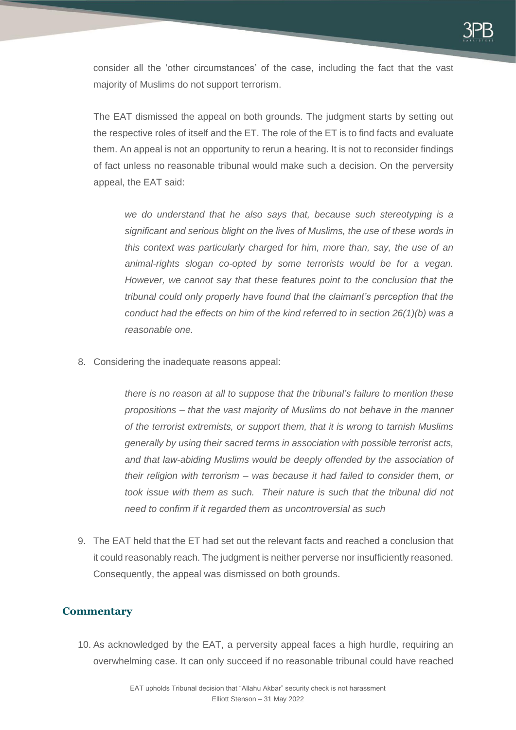consider all the 'other circumstances' of the case, including the fact that the vast majority of Muslims do not support terrorism.

The EAT dismissed the appeal on both grounds. The judgment starts by setting out the respective roles of itself and the ET. The role of the ET is to find facts and evaluate them. An appeal is not an opportunity to rerun a hearing. It is not to reconsider findings of fact unless no reasonable tribunal would make such a decision. On the perversity appeal, the EAT said:

*we do understand that he also says that, because such stereotyping is a significant and serious blight on the lives of Muslims, the use of these words in this context was particularly charged for him, more than, say, the use of an animal-rights slogan co-opted by some terrorists would be for a vegan. However, we cannot say that these features point to the conclusion that the tribunal could only properly have found that the claimant's perception that the conduct had the effects on him of the kind referred to in section 26(1)(b) was a reasonable one.*

8. Considering the inadequate reasons appeal:

*there is no reason at all to suppose that the tribunal's failure to mention these propositions – that the vast majority of Muslims do not behave in the manner of the terrorist extremists, or support them, that it is wrong to tarnish Muslims generally by using their sacred terms in association with possible terrorist acts, and that law-abiding Muslims would be deeply offended by the association of their religion with terrorism – was because it had failed to consider them, or took issue with them as such. Their nature is such that the tribunal did not need to confirm if it regarded them as uncontroversial as such*

9. The EAT held that the ET had set out the relevant facts and reached a conclusion that it could reasonably reach. The judgment is neither perverse nor insufficiently reasoned. Consequently, the appeal was dismissed on both grounds.

### **Commentary**

10. As acknowledged by the EAT, a perversity appeal faces a high hurdle, requiring an overwhelming case. It can only succeed if no reasonable tribunal could have reached